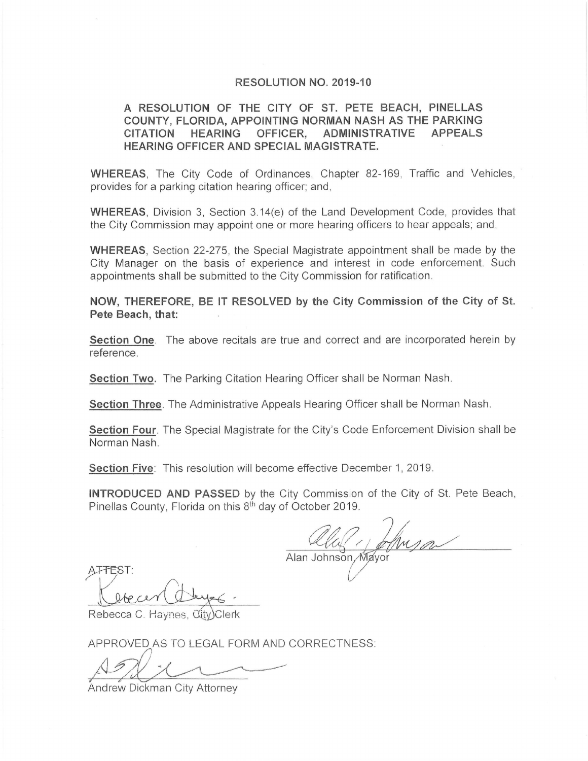## **RESOLUTION NO. 2019-10**

## **A RESOLUTION OF THE CITY OF ST. PETE BEACH, PINELLAS COUNTY, FLORIDA, APPOINTING NORMAN NASH AS THE PARKING CITATION HEARING OFFICER, ADMINISTRATIVE APPEALS HEARING OFFICER AND SPECIAL MAGISTRATE.**

**WHEREAS.** The City Code of Ordinances, Chapter 82-169, Traffic and Vehicles, provides for a parking citation hearing officer; and ,

**WHEREAS,** Division 3, Section 3.14(e) of the Land Development Code, provides that the City Commission may appoint one or more hearing officers to hear appeals; and,

**WHEREAS,** Section 22-275 , the Special Magistrate appointment shall be made by the City Manager on the basis of experience and interest in code enforcement. Such appointments shall be submitted to the City Commission for ratification.

**NOW, THEREFORE, BE IT RESOLVED by the City Commission of the City of St. Pete Beach, that:** 

**Section One.** The above recitals are true and correct and are incorporated herein by reference.

**Section Two.** The Parking Citation Hearing Officer shall be Norman Nash.

**Section Three.** The Administrative Appeals Hearing Officer shall be Norman Nash.

**Section Four.** The Special Magistrate for the City's Code Enforcement Division shall be Norman Nash.

**Section Five:** This resolution will become effective December 1, 2019.

**INTRODUCED AND PASSED** by the City Commission of the City of St. Pete Beach, Pinellas County, Florida on this 8<sup>th</sup> day of October 2019.

ATTEST:<br>Alan Johnson Mayor<br>Rebecca C. Haynes, City Clerk<br>APPROVED AS TO LEGAL FORM AND CORRECTNESS:<br>Andrew Dickman City Attorney

APPROVED AS TO LEGAL FORM AND CORRECTNESS:

Andrew Dickman City Attorney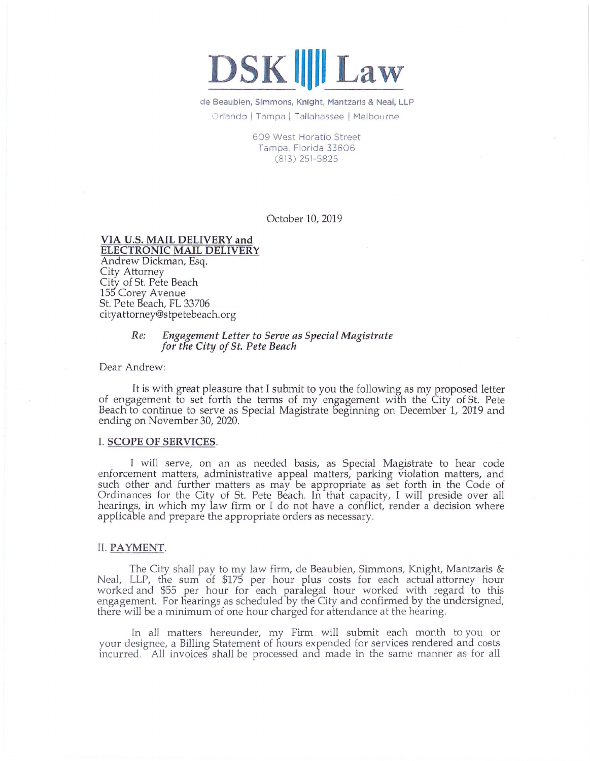# $DSK$  **|||| Law**

de Beaubien, Simmons, Knight, Mantzaris & Neal, LLP Orlando I Tampa I Tallahassee I Melbourne

> 609 West Horatio Street Tampa. Florida 33606 (813) 251- 5825

> > October 10, 2019

## **VIA U.S. MAIL DELIVERY and ELECTRONIC MAIL DELIVERY**

Andrew Dickman, Esq. City Attorney City of St. Pete Beach 155 Corey Avenue St. Pete Beach, FL 33706 cityattorney@stpetebeach.org

## *Re: Engagement Letter to Serve as Special Magistrate for the* CittJ *of St. Pete Beach*

Dear Andrew:

It is with great pleasure that I submit to you the following as my proposed letter of engagement to set forth the terms of my engagement with the City of St. Pete Beach to continue to serve as Special Magistrate beginning on December 1, 2019 and ending on November 30, 2020.

#### I. **SCOPE OF SERVICES.**

I will serve, on an as needed basis, as Special Magistrate to hear code enforcement matters, administrative appeal matters, parking violation matters, and such other and further matters as may be appropriate as set forth in the Code of Ordinances for the City of St. Pete Beach. In that capacity, I will preside over all hearings, in which my law firm or I do not have a conflict, render a decision where applicable and prepare the appropriate orders as necessary.

#### II. **PAYMENT.**

The City shall pay to my law firm, de Beaubien, Simmons, Knight, Mantzaris & Neal, LLP, the sum of \$175 per hour plus costs for each actual attorney hour worked and \$55 per hour for each paralegal hour worked with regard to this engagement. For hearings as scheduled by the City and confirmed by the undersigned, there will be a minimum of one hour charged for attendance at the hearing.

In all matters hereunder, my Firm will submit each month to you or your designee, a Billing Statement of hours expended for services rendered and costs incurred. All invoices shall be processed and made in the same manner as for all